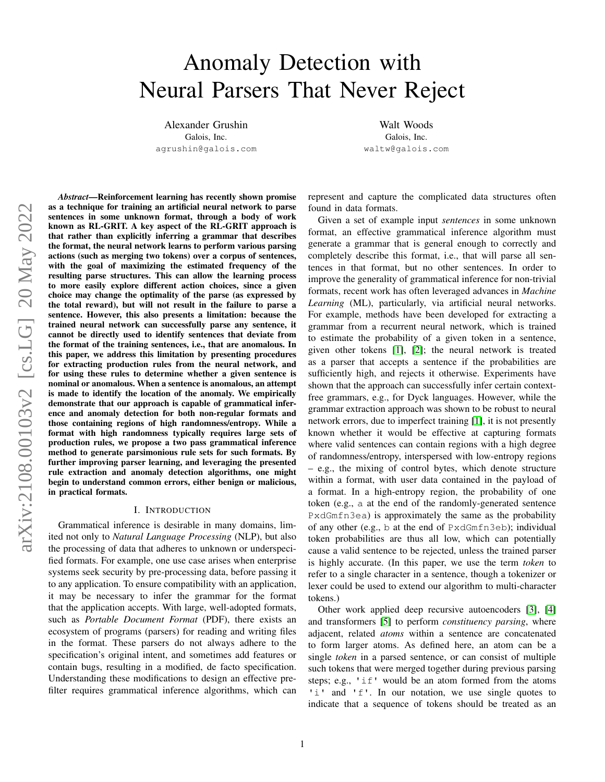# Anomaly Detection with Neural Parsers That Never Reject

Alexander Grushin Galois, Inc. agrushin@galois.com

Walt Woods Galois, Inc. waltw@galois.com

*Abstract*—Reinforcement learning has recently shown promise as a technique for training an artificial neural network to parse sentences in some unknown format, through a body of work known as RL-GRIT. A key aspect of the RL-GRIT approach is that rather than explicitly inferring a grammar that describes the format, the neural network learns to perform various parsing actions (such as merging two tokens) over a corpus of sentences, with the goal of maximizing the estimated frequency of the resulting parse structures. This can allow the learning process to more easily explore different action choices, since a given choice may change the optimality of the parse (as expressed by the total reward), but will not result in the failure to parse a sentence. However, this also presents a limitation: because the trained neural network can successfully parse any sentence, it cannot be directly used to identify sentences that deviate from the format of the training sentences, i.e., that are anomalous. In this paper, we address this limitation by presenting procedures for extracting production rules from the neural network, and for using these rules to determine whether a given sentence is nominal or anomalous. When a sentence is anomalous, an attempt is made to identify the location of the anomaly. We empirically demonstrate that our approach is capable of grammatical inference and anomaly detection for both non-regular formats and those containing regions of high randomness/entropy. While a format with high randomness typically requires large sets of production rules, we propose a two pass grammatical inference method to generate parsimonious rule sets for such formats. By further improving parser learning, and leveraging the presented rule extraction and anomaly detection algorithms, one might begin to understand common errors, either benign or malicious, in practical formats.

#### I. INTRODUCTION

Grammatical inference is desirable in many domains, limited not only to *Natural Language Processing* (NLP), but also the processing of data that adheres to unknown or underspecified formats. For example, one use case arises when enterprise systems seek security by pre-processing data, before passing it to any application. To ensure compatibility with an application, it may be necessary to infer the grammar for the format that the application accepts. With large, well-adopted formats, such as *Portable Document Format* (PDF), there exists an ecosystem of programs (parsers) for reading and writing files in the format. These parsers do not always adhere to the specification's original intent, and sometimes add features or contain bugs, resulting in a modified, de facto specification. Understanding these modifications to design an effective prefilter requires grammatical inference algorithms, which can represent and capture the complicated data structures often found in data formats.

Given a set of example input *sentences* in some unknown format, an effective grammatical inference algorithm must generate a grammar that is general enough to correctly and completely describe this format, i.e., that will parse all sentences in that format, but no other sentences. In order to improve the generality of grammatical inference for non-trivial formats, recent work has often leveraged advances in *Machine Learning* (ML), particularly, via artificial neural networks. For example, methods have been developed for extracting a grammar from a recurrent neural network, which is trained to estimate the probability of a given token in a sentence, given other tokens [\[1\]](#page-9-0), [\[2\]](#page-9-1); the neural network is treated as a parser that accepts a sentence if the probabilities are sufficiently high, and rejects it otherwise. Experiments have shown that the approach can successfully infer certain contextfree grammars, e.g., for Dyck languages. However, while the grammar extraction approach was shown to be robust to neural network errors, due to imperfect training [\[1\]](#page-9-0), it is not presently known whether it would be effective at capturing formats where valid sentences can contain regions with a high degree of randomness/entropy, interspersed with low-entropy regions – e.g., the mixing of control bytes, which denote structure within a format, with user data contained in the payload of a format. In a high-entropy region, the probability of one token (e.g., a at the end of the randomly-generated sentence PxdGmfn3ea) is approximately the same as the probability of any other (e.g., b at the end of PxdGmfn3eb); individual token probabilities are thus all low, which can potentially cause a valid sentence to be rejected, unless the trained parser is highly accurate. (In this paper, we use the term *token* to refer to a single character in a sentence, though a tokenizer or lexer could be used to extend our algorithm to multi-character tokens.)

Other work applied deep recursive autoencoders [\[3\]](#page-9-2), [\[4\]](#page-9-3) and transformers [\[5\]](#page-9-4) to perform *constituency parsing*, where adjacent, related *atoms* within a sentence are concatenated to form larger atoms. As defined here, an atom can be a single *token* in a parsed sentence, or can consist of multiple such tokens that were merged together during previous parsing steps; e.g., 'if' would be an atom formed from the atoms 'i' and 'f'. In our notation, we use single quotes to indicate that a sequence of tokens should be treated as an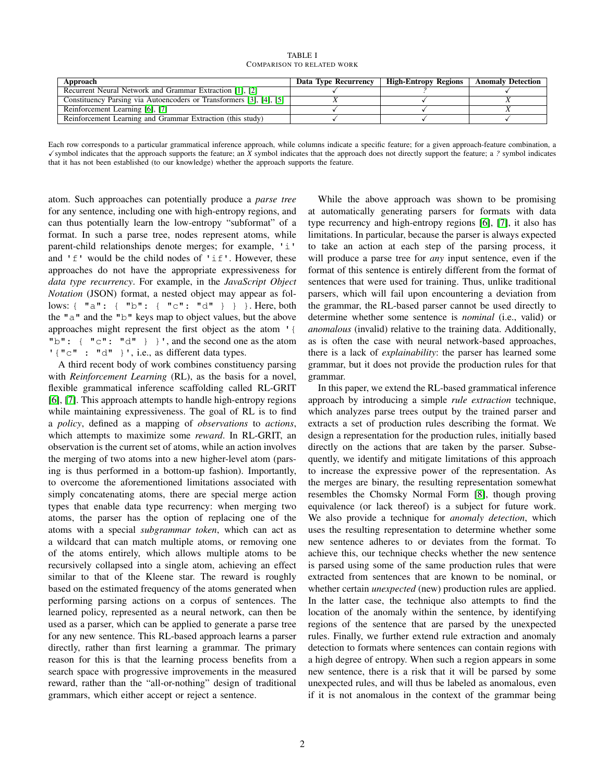TABLE I COMPARISON TO RELATED WORK

<span id="page-1-0"></span>

| Approach                                                            | Data Type Recurrency | <b>High-Entropy Regions</b> | <b>Anomaly Detection</b> |
|---------------------------------------------------------------------|----------------------|-----------------------------|--------------------------|
| Recurrent Neural Network and Grammar Extraction [1], [2]            |                      |                             |                          |
| Constituency Parsing via Autoencoders or Transformers [3], [4], [5] |                      |                             |                          |
| Reinforcement Learning [6], [7]                                     |                      |                             |                          |
| Reinforcement Learning and Grammar Extraction (this study)          |                      |                             |                          |

Each row corresponds to a particular grammatical inference approach, while columns indicate a specific feature; for a given approach-feature combination, a  $\checkmark$  symbol indicates that the approach supports the feature; an *X* symbol indicates that the approach does not directly support the feature; a *?* symbol indicates that it has not been established (to our knowledge) whether the approach supports the feature.

atom. Such approaches can potentially produce a *parse tree* for any sentence, including one with high-entropy regions, and can thus potentially learn the low-entropy "subformat" of a format. In such a parse tree, nodes represent atoms, while parent-child relationships denote merges; for example, 'i' and 'f' would be the child nodes of 'if'. However, these approaches do not have the appropriate expressiveness for *data type recurrency*. For example, in the *JavaScript Object Notation* (JSON) format, a nested object may appear as follows: { "a": { "b": { "c": "d" } } }. Here, both the "a" and the "b" keys map to object values, but the above approaches might represent the first object as the atom '{ " $b$ ": { " $c$ ": " $d$ " } }', and the second one as the atom ' { "c" : "d" }', i.e., as different data types.

A third recent body of work combines constituency parsing with *Reinforcement Learning* (RL), as the basis for a novel, flexible grammatical inference scaffolding called RL-GRIT [\[6\]](#page-9-5), [\[7\]](#page-9-6). This approach attempts to handle high-entropy regions while maintaining expressiveness. The goal of RL is to find a *policy*, defined as a mapping of *observations* to *actions*, which attempts to maximize some *reward*. In RL-GRIT, an observation is the current set of atoms, while an action involves the merging of two atoms into a new higher-level atom (parsing is thus performed in a bottom-up fashion). Importantly, to overcome the aforementioned limitations associated with simply concatenating atoms, there are special merge action types that enable data type recurrency: when merging two atoms, the parser has the option of replacing one of the atoms with a special *subgrammar token*, which can act as a wildcard that can match multiple atoms, or removing one of the atoms entirely, which allows multiple atoms to be recursively collapsed into a single atom, achieving an effect similar to that of the Kleene star. The reward is roughly based on the estimated frequency of the atoms generated when performing parsing actions on a corpus of sentences. The learned policy, represented as a neural network, can then be used as a parser, which can be applied to generate a parse tree for any new sentence. This RL-based approach learns a parser directly, rather than first learning a grammar. The primary reason for this is that the learning process benefits from a search space with progressive improvements in the measured reward, rather than the "all-or-nothing" design of traditional grammars, which either accept or reject a sentence.

While the above approach was shown to be promising at automatically generating parsers for formats with data type recurrency and high-entropy regions [\[6\]](#page-9-5), [\[7\]](#page-9-6), it also has limitations. In particular, because the parser is always expected to take an action at each step of the parsing process, it will produce a parse tree for *any* input sentence, even if the format of this sentence is entirely different from the format of sentences that were used for training. Thus, unlike traditional parsers, which will fail upon encountering a deviation from the grammar, the RL-based parser cannot be used directly to determine whether some sentence is *nominal* (i.e., valid) or *anomalous* (invalid) relative to the training data. Additionally, as is often the case with neural network-based approaches, there is a lack of *explainability*: the parser has learned some grammar, but it does not provide the production rules for that grammar.

In this paper, we extend the RL-based grammatical inference approach by introducing a simple *rule extraction* technique, which analyzes parse trees output by the trained parser and extracts a set of production rules describing the format. We design a representation for the production rules, initially based directly on the actions that are taken by the parser. Subsequently, we identify and mitigate limitations of this approach to increase the expressive power of the representation. As the merges are binary, the resulting representation somewhat resembles the Chomsky Normal Form [\[8\]](#page-9-7), though proving equivalence (or lack thereof) is a subject for future work. We also provide a technique for *anomaly detection*, which uses the resulting representation to determine whether some new sentence adheres to or deviates from the format. To achieve this, our technique checks whether the new sentence is parsed using some of the same production rules that were extracted from sentences that are known to be nominal, or whether certain *unexpected* (new) production rules are applied. In the latter case, the technique also attempts to find the location of the anomaly within the sentence, by identifying regions of the sentence that are parsed by the unexpected rules. Finally, we further extend rule extraction and anomaly detection to formats where sentences can contain regions with a high degree of entropy. When such a region appears in some new sentence, there is a risk that it will be parsed by some unexpected rules, and will thus be labeled as anomalous, even if it is not anomalous in the context of the grammar being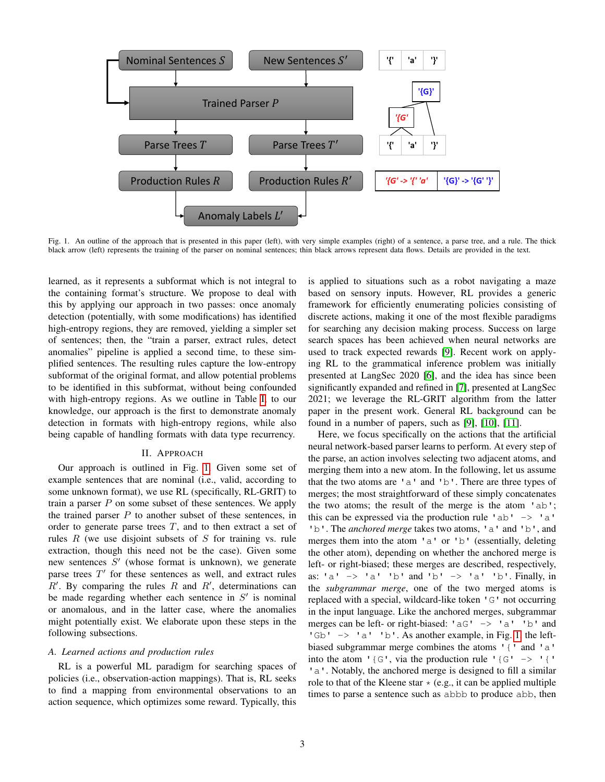<span id="page-2-0"></span>

Fig. 1. An outline of the approach that is presented in this paper (left), with very simple examples (right) of a sentence, a parse tree, and a rule. The thick black arrow (left) represents the training of the parser on nominal sentences; thin black arrows represent data flows. Details are provided in the text.

learned, as it represents a subformat which is not integral to the containing format's structure. We propose to deal with this by applying our approach in two passes: once anomaly detection (potentially, with some modifications) has identified high-entropy regions, they are removed, yielding a simpler set of sentences; then, the "train a parser, extract rules, detect anomalies" pipeline is applied a second time, to these simplified sentences. The resulting rules capture the low-entropy subformat of the original format, and allow potential problems to be identified in this subformat, without being confounded with high-entropy regions. As we outline in Table [I,](#page-1-0) to our knowledge, our approach is the first to demonstrate anomaly detection in formats with high-entropy regions, while also being capable of handling formats with data type recurrency.

#### II. APPROACH

Our approach is outlined in Fig. [1.](#page-2-0) Given some set of example sentences that are nominal (i.e., valid, according to some unknown format), we use RL (specifically, RL-GRIT) to train a parser  $P$  on some subset of these sentences. We apply the trained parser  $P$  to another subset of these sentences, in order to generate parse trees  $T$ , and to then extract a set of rules  $R$  (we use disjoint subsets of  $S$  for training vs. rule extraction, though this need not be the case). Given some new sentences  $S'$  (whose format is unknown), we generate parse trees  $T'$  for these sentences as well, and extract rules  $R'$ . By comparing the rules  $R$  and  $R'$ , determinations can be made regarding whether each sentence in  $S'$  is nominal or anomalous, and in the latter case, where the anomalies might potentially exist. We elaborate upon these steps in the following subsections.

#### *A. Learned actions and production rules*

RL is a powerful ML paradigm for searching spaces of policies (i.e., observation-action mappings). That is, RL seeks to find a mapping from environmental observations to an action sequence, which optimizes some reward. Typically, this is applied to situations such as a robot navigating a maze based on sensory inputs. However, RL provides a generic framework for efficiently enumerating policies consisting of discrete actions, making it one of the most flexible paradigms for searching any decision making process. Success on large search spaces has been achieved when neural networks are used to track expected rewards [\[9\]](#page-9-8). Recent work on applying RL to the grammatical inference problem was initially presented at LangSec 2020 [\[6\]](#page-9-5), and the idea has since been significantly expanded and refined in [\[7\]](#page-9-6), presented at LangSec 2021; we leverage the RL-GRIT algorithm from the latter paper in the present work. General RL background can be found in a number of papers, such as [\[9\]](#page-9-8), [\[10\]](#page-9-9), [\[11\]](#page-9-10).

Here, we focus specifically on the actions that the artificial neural network-based parser learns to perform. At every step of the parse, an action involves selecting two adjacent atoms, and merging them into a new atom. In the following, let us assume that the two atoms are 'a' and 'b'. There are three types of merges; the most straightforward of these simply concatenates the two atoms; the result of the merge is the atom 'ab'; this can be expressed via the production rule 'ab'  $\rightarrow$  'a' 'b'. The *anchored merge* takes two atoms, 'a' and 'b', and merges them into the atom 'a' or 'b' (essentially, deleting the other atom), depending on whether the anchored merge is left- or right-biased; these merges are described, respectively, as: 'a'  $\rightarrow$  'a' 'b' and 'b'  $\rightarrow$  'a' 'b'. Finally, in the *subgrammar merge*, one of the two merged atoms is replaced with a special, wildcard-like token 'G' not occurring in the input language. Like the anchored merges, subgrammar merges can be left- or right-biased:  $\text{°aG'} \rightarrow \text{°a'} \text{°b'}$  and 'Gb' -> 'a' 'b'. As another example, in Fig. [1,](#page-2-0) the leftbiased subgrammar merge combines the atoms '{' and 'a' into the atom '{G', via the production rule '{G' -> '{' 'a'. Notably, the anchored merge is designed to fill a similar role to that of the Kleene star  $\star$  (e.g., it can be applied multiple times to parse a sentence such as abbb to produce abb, then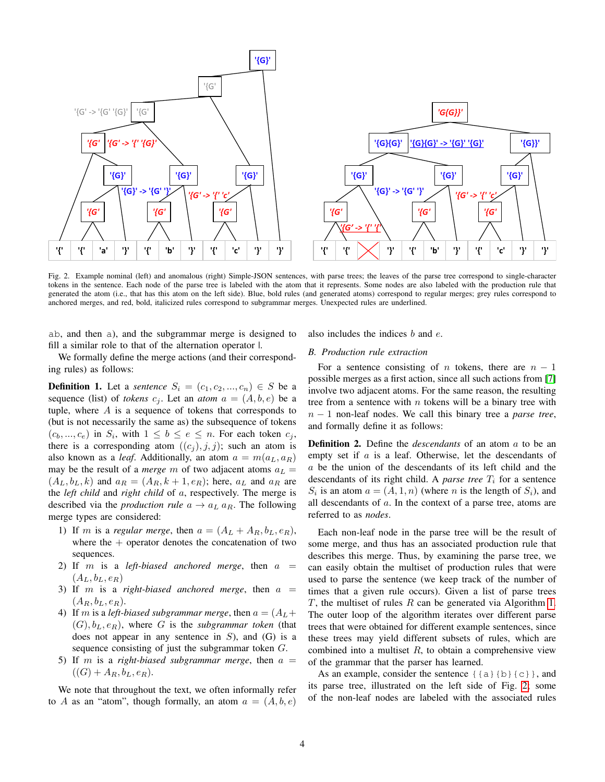<span id="page-3-0"></span>

Fig. 2. Example nominal (left) and anomalous (right) Simple-JSON sentences, with parse trees; the leaves of the parse tree correspond to single-character tokens in the sentence. Each node of the parse tree is labeled with the atom that it represents. Some nodes are also labeled with the production rule that generated the atom (i.e., that has this atom on the left side). Blue, bold rules (and generated atoms) correspond to regular merges; grey rules correspond to anchored merges, and red, bold, italicized rules correspond to subgrammar merges. Unexpected rules are underlined.

ab, and then a), and the subgrammar merge is designed to fill a similar role to that of the alternation operator  $\mathsf{l}$ .

We formally define the merge actions (and their corresponding rules) as follows:

**Definition 1.** Let a *sentence*  $S_i = (c_1, c_2, ..., c_n) \in S$  be a sequence (list) of *tokens*  $c_j$ . Let an *atom*  $a = (A, b, e)$  be a tuple, where  $A$  is a sequence of tokens that corresponds to (but is not necessarily the same as) the subsequence of tokens  $(c_b, ..., c_e)$  in  $S_i$ , with  $1 \leq b \leq e \leq n$ . For each token  $c_j$ , there is a corresponding atom  $((c_i), j, j)$ ; such an atom is also known as a *leaf*. Additionally, an atom  $a = m(a_L, a_R)$ may be the result of a *merge* m of two adjacent atoms  $a<sub>L</sub>$  =  $(A_L, b_L, k)$  and  $a_R = (A_R, k+1, e_R)$ ; here,  $a_L$  and  $a_R$  are the *left child* and *right child* of a, respectively. The merge is described via the *production rule*  $a \rightarrow a_L a_R$ . The following merge types are considered:

- 1) If m is a *regular merge*, then  $a = (A_L + A_R, b_L, e_R)$ , where the  $+$  operator denotes the concatenation of two sequences.
- 2) If  $m$  is a *left-biased anchored merge*, then  $a =$  $(A_L, b_L, e_R)$
- 3) If m is a *right-biased anchored merge*, then  $a =$  $(A_R, b_L, e_R)$ .
- 4) If m is a *left-biased subgrammar merge*, then  $a = (A_L + A_R)$  $(G), b<sub>L</sub>, e<sub>R</sub>$ ), where G is the *subgrammar token* (that does not appear in any sentence in  $S$ ), and  $(G)$  is a sequence consisting of just the subgrammar token G.
- 5) If m is a *right-biased subgrammar merge*, then  $a =$  $((G) + A_R, b_L, e_R).$

We note that throughout the text, we often informally refer to A as an "atom", though formally, an atom  $a = (A, b, e)$ 

## also includes the indices b and e.

# *B. Production rule extraction*

For a sentence consisting of n tokens, there are  $n - 1$ possible merges as a first action, since all such actions from [\[7\]](#page-9-6) involve two adjacent atoms. For the same reason, the resulting tree from a sentence with  $n$  tokens will be a binary tree with n − 1 non-leaf nodes. We call this binary tree a *parse tree*, and formally define it as follows:

Definition 2. Define the *descendants* of an atom a to be an empty set if  $a$  is a leaf. Otherwise, let the descendants of a be the union of the descendants of its left child and the descendants of its right child. A *parse tree*  $T_i$  for a sentence  $S_i$  is an atom  $a = (A, 1, n)$  (where n is the length of  $S_i$ ), and all descendants of a. In the context of a parse tree, atoms are referred to as *nodes*.

Each non-leaf node in the parse tree will be the result of some merge, and thus has an associated production rule that describes this merge. Thus, by examining the parse tree, we can easily obtain the multiset of production rules that were used to parse the sentence (we keep track of the number of times that a given rule occurs). Given a list of parse trees  $T$ , the multiset of rules  $R$  can be generated via Algorithm [1.](#page-4-0) The outer loop of the algorithm iterates over different parse trees that were obtained for different example sentences, since these trees may yield different subsets of rules, which are combined into a multiset  $R$ , to obtain a comprehensive view of the grammar that the parser has learned.

As an example, consider the sentence  $\{a\}$  {b}{c}}, and its parse tree, illustrated on the left side of Fig. [2;](#page-3-0) some of the non-leaf nodes are labeled with the associated rules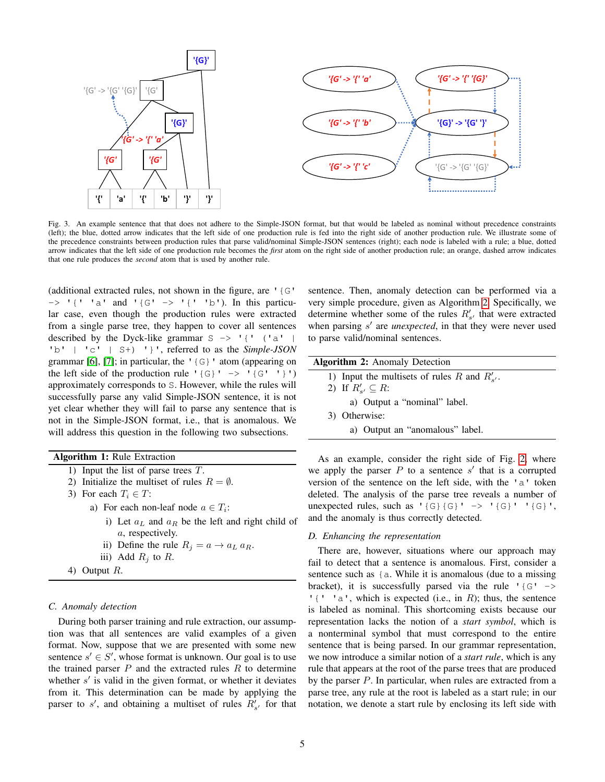<span id="page-4-2"></span>

Fig. 3. An example sentence that that does not adhere to the Simple-JSON format, but that would be labeled as nominal without precedence constraints (left); the blue, dotted arrow indicates that the left side of one production rule is fed into the right side of another production rule. We illustrate some of the precedence constraints between production rules that parse valid/nominal Simple-JSON sentences (right); each node is labeled with a rule; a blue, dotted arrow indicates that the left side of one production rule becomes the *first* atom on the right side of another production rule; an orange, dashed arrow indicates that one rule produces the *second* atom that is used by another rule.

(additional extracted rules, not shown in the figure, are '{G'  $\Rightarrow$  '{' 'a' and '{G' -> '{' 'b'). In this particular case, even though the production rules were extracted from a single parse tree, they happen to cover all sentences described by the Dyck-like grammar  $S \rightarrow '$  {' ('a' | 'b' | 'c' | S+) '}', referred to as the *Simple-JSON* grammar [\[6\]](#page-9-5), [\[7\]](#page-9-6); in particular, the  $\lceil \cdot \cdot \rceil$  atom (appearing on the left side of the production rule ' $\{G\}$ ' -> ' $\{G'$  '}') approximately corresponds to S. However, while the rules will successfully parse any valid Simple-JSON sentence, it is not yet clear whether they will fail to parse any sentence that is not in the Simple-JSON format, i.e., that is anomalous. We will address this question in the following two subsections.

Algorithm 1: Rule Extraction

- 1) Input the list of parse trees T.
- 2) Initialize the multiset of rules  $R = \emptyset$ .
- 3) For each  $T_i \in T$ :
	- a) For each non-leaf node  $a \in T_i$ :
		- i) Let  $a<sub>L</sub>$  and  $a<sub>R</sub>$  be the left and right child of a, respectively.
		- ii) Define the rule  $R_j = a \rightarrow a_L a_R$ .
		- iii) Add  $R_i$  to R.
- <span id="page-4-0"></span>4) Output R.

## *C. Anomaly detection*

During both parser training and rule extraction, our assumption was that all sentences are valid examples of a given format. Now, suppose that we are presented with some new sentence  $s' \in S'$ , whose format is unknown. Our goal is to use the trained parser  $P$  and the extracted rules  $R$  to determine whether  $s'$  is valid in the given format, or whether it deviates from it. This determination can be made by applying the parser to  $s'$ , and obtaining a multiset of rules  $R'_{s'}$  for that sentence. Then, anomaly detection can be performed via a very simple procedure, given as Algorithm [2.](#page-4-1) Specifically, we determine whether some of the rules  $R'_{s'}$  that were extracted when parsing  $s'$  are *unexpected*, in that they were never used to parse valid/nominal sentences.

#### Algorithm 2: Anomaly Detection

- 1) Input the multisets of rules R and  $R'_{s'}$ .
- 2) If  $R'_{s'} \subseteq R$ :
	- a) Output a "nominal" label.
- 3) Otherwise:
	- a) Output an "anomalous" label.

<span id="page-4-1"></span>As an example, consider the right side of Fig. [2,](#page-3-0) where we apply the parser  $P$  to a sentence  $s'$  that is a corrupted version of the sentence on the left side, with the 'a' token deleted. The analysis of the parse tree reveals a number of unexpected rules, such as  $'\{G\} \{G\}'$  ->  $'\{G\}'$ , and the anomaly is thus correctly detected.

## <span id="page-4-3"></span>*D. Enhancing the representation*

There are, however, situations where our approach may fail to detect that a sentence is anomalous. First, consider a sentence such as {a. While it is anomalous (due to a missing bracket), it is successfully parsed via the rule ' $\{G' \rightarrow$ ' $\{$ ' 'a', which is expected (i.e., in R); thus, the sentence is labeled as nominal. This shortcoming exists because our representation lacks the notion of a *start symbol*, which is a nonterminal symbol that must correspond to the entire sentence that is being parsed. In our grammar representation, we now introduce a similar notion of a *start rule*, which is any rule that appears at the root of the parse trees that are produced by the parser P. In particular, when rules are extracted from a parse tree, any rule at the root is labeled as a start rule; in our notation, we denote a start rule by enclosing its left side with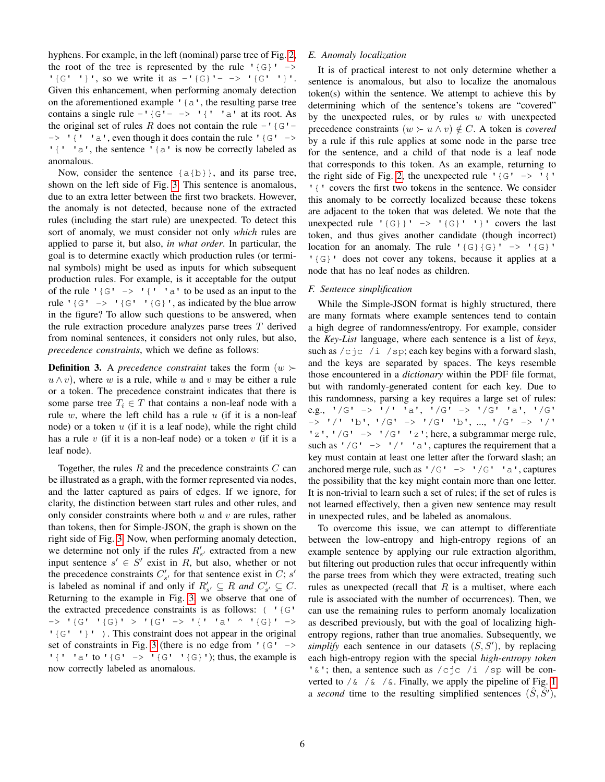hyphens. For example, in the left (nominal) parse tree of Fig. [2,](#page-3-0) the root of the tree is represented by the rule  $\{G\}$ ' -> '{G' '}', so we write it as  $-$ '{G}'- -> '{G' '}'. Given this enhancement, when performing anomaly detection on the aforementioned example '{a', the resulting parse tree contains a single rule  $-1$  {G'- ->  $1$  {' 'a' at its root. As the original set of rules R does not contain the rule  $-$  ' {G'- $\rightarrow$  '{' 'a', even though it does contain the rule '{G' -> '{' 'a', the sentence '{a' is now be correctly labeled as anomalous.

Now, consider the sentence  ${a{b}}$ , and its parse tree, shown on the left side of Fig. [3.](#page-4-2) This sentence is anomalous, due to an extra letter between the first two brackets. However, the anomaly is not detected, because none of the extracted rules (including the start rule) are unexpected. To detect this sort of anomaly, we must consider not only *which* rules are applied to parse it, but also, *in what order*. In particular, the goal is to determine exactly which production rules (or terminal symbols) might be used as inputs for which subsequent production rules. For example, is it acceptable for the output of the rule ' $\{G' \rightarrow ' \}'$ ' a' to be used as an input to the rule  $'\{G' \rightarrow '\{G' \mid G\}}'$ , as indicated by the blue arrow in the figure? To allow such questions to be answered, when the rule extraction procedure analyzes parse trees  $T$  derived from nominal sentences, it considers not only rules, but also, *precedence constraints*, which we define as follows:

**Definition 3.** A *precedence constraint* takes the form  $(w \succ$  $u \wedge v$ , where w is a rule, while u and v may be either a rule or a token. The precedence constraint indicates that there is some parse tree  $T_i \in T$  that contains a non-leaf node with a rule  $w$ , where the left child has a rule  $u$  (if it is a non-leaf node) or a token  $u$  (if it is a leaf node), while the right child has a rule  $v$  (if it is a non-leaf node) or a token  $v$  (if it is a leaf node).

Together, the rules  $R$  and the precedence constraints  $C$  can be illustrated as a graph, with the former represented via nodes, and the latter captured as pairs of edges. If we ignore, for clarity, the distinction between start rules and other rules, and only consider constraints where both  $u$  and  $v$  are rules, rather than tokens, then for Simple-JSON, the graph is shown on the right side of Fig. [3.](#page-4-2) Now, when performing anomaly detection, we determine not only if the rules  $R'_{s'}$  extracted from a new input sentence  $s' \in S'$  exist in R, but also, whether or not the precedence constraints  $C'_{s'}$  for that sentence exist in C; s' is labeled as nominal if and only if  $R'_{s'} \subseteq R$  and  $C'_{s'} \subseteq C$ . Returning to the example in Fig. [3,](#page-4-2) we observe that one of the extracted precedence constraints is as follows:  $( ' {G'} )$ -> '{G' '{G}' > '{G' -> '{' 'a' ^ '{G}' -> '{G' '}' ). This constraint does not appear in the original set of constraints in Fig. [3](#page-4-2) (there is no edge from  $\lceil \cdot |G' \rceil \rceil$ ) '{' 'a' to '{G' -> '{G' '{G}'); thus, the example is now correctly labeled as anomalous.

# *E. Anomaly localization*

It is of practical interest to not only determine whether a sentence is anomalous, but also to localize the anomalous token(s) within the sentence. We attempt to achieve this by determining which of the sentence's tokens are "covered" by the unexpected rules, or by rules  $w$  with unexpected precedence constraints  $(w \succ u \land v) \notin C$ . A token is *covered* by a rule if this rule applies at some node in the parse tree for the sentence, and a child of that node is a leaf node that corresponds to this token. As an example, returning to the right side of Fig. [2,](#page-3-0) the unexpected rule  $\lceil \{\text{G}^{\dagger} \to \text{H} \} \rceil$ '{' covers the first two tokens in the sentence. We consider this anomaly to be correctly localized because these tokens are adjacent to the token that was deleted. We note that the unexpected rule  $'$ {G}}' -> '{G}' '}' covers the last token, and thus gives another candidate (though incorrect) location for an anomaly. The rule  $' {\{G\}} {\{G\}}' \rightarrow ' {\{G\}}'$ '{G}' does not cover any tokens, because it applies at a node that has no leaf nodes as children.

# <span id="page-5-0"></span>*F. Sentence simplification*

While the Simple-JSON format is highly structured, there are many formats where example sentences tend to contain a high degree of randomness/entropy. For example, consider the *Key-List* language, where each sentence is a list of *keys*, such as  $\sqrt{c}$   $\neq$   $\sqrt{h}$  /sp; each key begins with a forward slash, and the keys are separated by spaces. The keys resemble those encountered in a *dictionary* within the PDF file format, but with randomly-generated content for each key. Due to this randomness, parsing a key requires a large set of rules: e.g., '/G' -> '/' 'a', '/G' -> '/G' 'a', '/G' -> '/' 'b', '/G' -> '/G' 'b', ..., '/G' -> '/' 'z', '/G'  $\rightarrow$  '/G' 'z'; here, a subgrammar merge rule, such as  $'/G' \rightarrow'/'$  'a', captures the requirement that a key must contain at least one letter after the forward slash; an anchored merge rule, such as  $'/G' \rightarrow'/G'$  'a', captures the possibility that the key might contain more than one letter. It is non-trivial to learn such a set of rules; if the set of rules is not learned effectively, then a given new sentence may result in unexpected rules, and be labeled as anomalous.

To overcome this issue, we can attempt to differentiate between the low-entropy and high-entropy regions of an example sentence by applying our rule extraction algorithm, but filtering out production rules that occur infrequently within the parse trees from which they were extracted, treating such rules as unexpected (recall that  $R$  is a multiset, where each rule is associated with the number of occurrences). Then, we can use the remaining rules to perform anomaly localization as described previously, but with the goal of localizing highentropy regions, rather than true anomalies. Subsequently, we simplify each sentence in our datasets  $(S, S')$ , by replacing each high-entropy region with the special *high-entropy token* ' $\&$ '; then, a sentence such as /cjc /i /sp will be converted to  $\sqrt{\alpha}$  /  $\alpha$  /  $\alpha$ . Finally, we apply the pipeline of Fig. [1](#page-2-0) a *second* time to the resulting simplified sentences  $(S, S')$ ,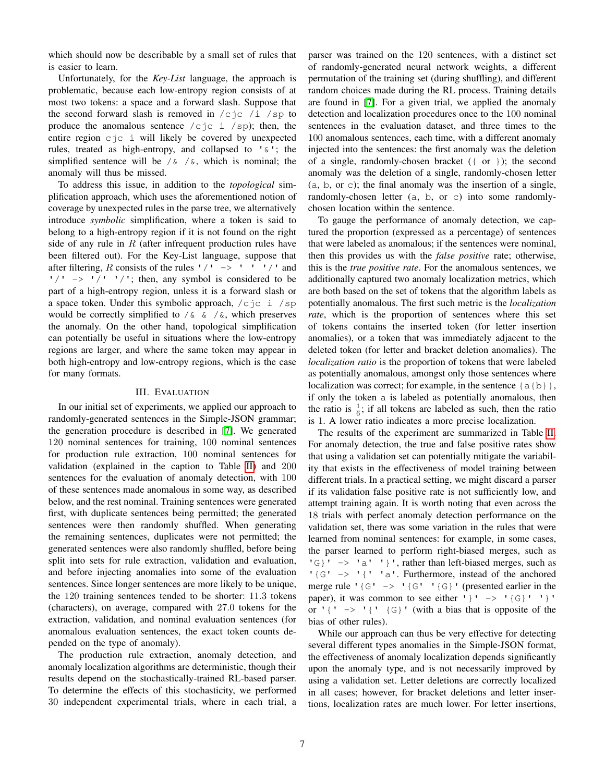which should now be describable by a small set of rules that is easier to learn.

Unfortunately, for the *Key-List* language, the approach is problematic, because each low-entropy region consists of at most two tokens: a space and a forward slash. Suppose that the second forward slash is removed in  $/c$ jc /i /sp to produce the anomalous sentence  $/c$ jc i  $/s$ p); then, the entire region cjc i will likely be covered by unexpected rules, treated as high-entropy, and collapsed to '&'; the simplified sentence will be  $/\alpha$  / $\alpha$ , which is nominal; the anomaly will thus be missed.

To address this issue, in addition to the *topological* simplification approach, which uses the aforementioned notion of coverage by unexpected rules in the parse tree, we alternatively introduce *symbolic* simplification, where a token is said to belong to a high-entropy region if it is not found on the right side of any rule in  $R$  (after infrequent production rules have been filtered out). For the Key-List language, suppose that after filtering, R consists of the rules  $1/1$  ->  $1/1$  and  $'$ /' ->  $'$ /'  $'$ /'; then, any symbol is considered to be part of a high-entropy region, unless it is a forward slash or a space token. Under this symbolic approach,  $/c$  jc i /sp would be correctly simplified to  $\sqrt{\alpha} \alpha$  / $\alpha$ , which preserves the anomaly. On the other hand, topological simplification can potentially be useful in situations where the low-entropy regions are larger, and where the same token may appear in both high-entropy and low-entropy regions, which is the case for many formats.

#### III. EVALUATION

In our initial set of experiments, we applied our approach to randomly-generated sentences in the Simple-JSON grammar; the generation procedure is described in [\[7\]](#page-9-6). We generated 120 nominal sentences for training, 100 nominal sentences for production rule extraction, 100 nominal sentences for validation (explained in the caption to Table [II\)](#page-7-0) and 200 sentences for the evaluation of anomaly detection, with 100 of these sentences made anomalous in some way, as described below, and the rest nominal. Training sentences were generated first, with duplicate sentences being permitted; the generated sentences were then randomly shuffled. When generating the remaining sentences, duplicates were not permitted; the generated sentences were also randomly shuffled, before being split into sets for rule extraction, validation and evaluation, and before injecting anomalies into some of the evaluation sentences. Since longer sentences are more likely to be unique, the 120 training sentences tended to be shorter: 11.3 tokens (characters), on average, compared with 27.0 tokens for the extraction, validation, and nominal evaluation sentences (for anomalous evaluation sentences, the exact token counts depended on the type of anomaly).

The production rule extraction, anomaly detection, and anomaly localization algorithms are deterministic, though their results depend on the stochastically-trained RL-based parser. To determine the effects of this stochasticity, we performed 30 independent experimental trials, where in each trial, a parser was trained on the 120 sentences, with a distinct set of randomly-generated neural network weights, a different permutation of the training set (during shuffling), and different random choices made during the RL process. Training details are found in [\[7\]](#page-9-6). For a given trial, we applied the anomaly detection and localization procedures once to the 100 nominal sentences in the evaluation dataset, and three times to the 100 anomalous sentences, each time, with a different anomaly injected into the sentences: the first anomaly was the deletion of a single, randomly-chosen bracket ({ or }); the second anomaly was the deletion of a single, randomly-chosen letter (a, b, or c); the final anomaly was the insertion of a single, randomly-chosen letter (a, b, or c) into some randomlychosen location within the sentence.

To gauge the performance of anomaly detection, we captured the proportion (expressed as a percentage) of sentences that were labeled as anomalous; if the sentences were nominal, then this provides us with the *false positive* rate; otherwise, this is the *true positive rate*. For the anomalous sentences, we additionally captured two anomaly localization metrics, which are both based on the set of tokens that the algorithm labels as potentially anomalous. The first such metric is the *localization rate*, which is the proportion of sentences where this set of tokens contains the inserted token (for letter insertion anomalies), or a token that was immediately adjacent to the deleted token (for letter and bracket deletion anomalies). The *localization ratio* is the proportion of tokens that were labeled as potentially anomalous, amongst only those sentences where localization was correct; for example, in the sentence  $\{a\{b\}\}\,$ , if only the token a is labeled as potentially anomalous, then the ratio is  $\frac{1}{6}$ ; if all tokens are labeled as such, then the ratio is 1. A lower ratio indicates a more precise localization.

The results of the experiment are summarized in Table [II.](#page-7-0) For anomaly detection, the true and false positive rates show that using a validation set can potentially mitigate the variability that exists in the effectiveness of model training between different trials. In a practical setting, we might discard a parser if its validation false positive rate is not sufficiently low, and attempt training again. It is worth noting that even across the 18 trials with perfect anomaly detection performance on the validation set, there was some variation in the rules that were learned from nominal sentences: for example, in some cases, the parser learned to perform right-biased merges, such as  $\{G\}$  '  $\rightarrow$  'a' '}', rather than left-biased merges, such as '{G' -> '{' 'a'. Furthermore, instead of the anchored merge rule  $\lceil \{\mathbf{G}^{\dagger} \rangle \} \rceil$  { $\mathbf{G}^{\dagger} \rceil$  { $\mathbf{G}^{\dagger}$ } (presented earlier in the paper), it was common to see either ' } ' -> ' {G}' ' } ' or  $\lceil {n \choose 2} \rceil$  (G) (with a bias that is opposite of the bias of other rules).

While our approach can thus be very effective for detecting several different types anomalies in the Simple-JSON format, the effectiveness of anomaly localization depends significantly upon the anomaly type, and is not necessarily improved by using a validation set. Letter deletions are correctly localized in all cases; however, for bracket deletions and letter insertions, localization rates are much lower. For letter insertions,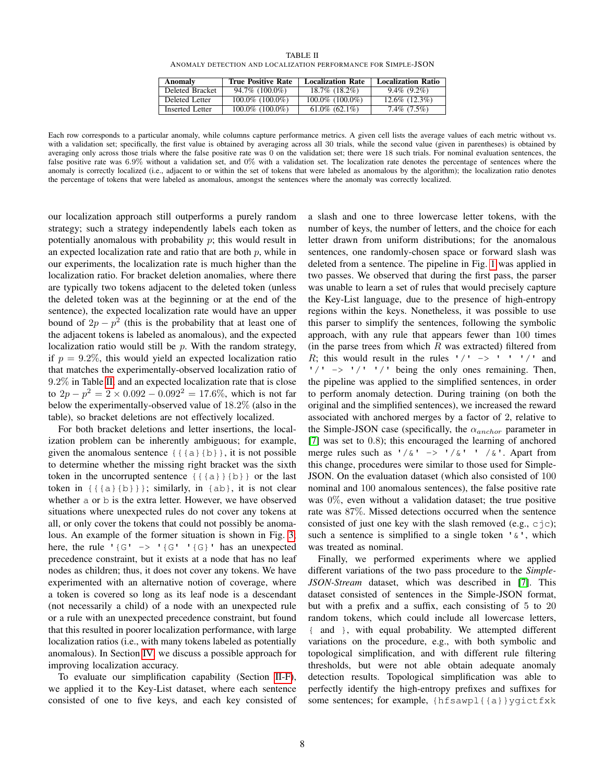| TABLE II                                                       |  |  |  |  |
|----------------------------------------------------------------|--|--|--|--|
| ANOMALY DETECTION AND LOCALIZATION PERFORMANCE FOR SIMPLE-JSON |  |  |  |  |

| Anomaly         | <b>True Positive Rate</b> | <b>Localization Rate</b> | <b>Localization Ratio</b> |
|-----------------|---------------------------|--------------------------|---------------------------|
| Deleted Bracket | 94.7% (100.0%)            | 18.7% (18.2%)            | $9.4\%$ (9.2\%)           |
| Deleted Letter  | $100.0\%$ (100.0%)        | $100.0\%$ (100.0%)       | $12.6\%$ $(12.3\%)$       |
| Inserted Letter | $100.0\%$ (100.0%)        | $61.0\%$ $(62.1\%)$      | $7.4\%$ $(7.5\%)$         |

<span id="page-7-0"></span>Each row corresponds to a particular anomaly, while columns capture performance metrics. A given cell lists the average values of each metric without vs. with a validation set; specifically, the first value is obtained by averaging across all 30 trials, while the second value (given in parentheses) is obtained by averaging only across those trials where the false positive rate was 0 on the validation set; there were 18 such trials. For nominal evaluation sentences, the false positive rate was 6.9% without a validation set, and 0% with a validation set. The localization rate denotes the percentage of sentences where the anomaly is correctly localized (i.e., adjacent to or within the set of tokens that were labeled as anomalous by the algorithm); the localization ratio denotes the percentage of tokens that were labeled as anomalous, amongst the sentences where the anomaly was correctly localized.

our localization approach still outperforms a purely random strategy; such a strategy independently labels each token as potentially anomalous with probability  $p$ ; this would result in an expected localization rate and ratio that are both  $p$ , while in our experiments, the localization rate is much higher than the localization ratio. For bracket deletion anomalies, where there are typically two tokens adjacent to the deleted token (unless the deleted token was at the beginning or at the end of the sentence), the expected localization rate would have an upper bound of  $2p - p^2$  (this is the probability that at least one of the adjacent tokens is labeled as anomalous), and the expected localization ratio would still be  $p$ . With the random strategy, if  $p = 9.2\%$ , this would yield an expected localization ratio that matches the experimentally-observed localization ratio of 9.2% in Table [II,](#page-7-0) and an expected localization rate that is close to  $2p - p^2 = 2 \times 0.092 - 0.092^2 = 17.6\%$ , which is not far below the experimentally-observed value of 18.2% (also in the table), so bracket deletions are not effectively localized.

For both bracket deletions and letter insertions, the localization problem can be inherently ambiguous; for example, given the anomalous sentence  $\{ \{a\} \{b\} \}$ , it is not possible to determine whether the missing right bracket was the sixth token in the uncorrupted sentence  $\{ \{a\} \} \{b\}$  or the last token in {{{a}{b}}}; similarly, in {ab}, it is not clear whether a or b is the extra letter. However, we have observed situations where unexpected rules do not cover any tokens at all, or only cover the tokens that could not possibly be anomalous. An example of the former situation is shown in Fig. [3;](#page-4-2) here, the rule ' $\{G' \rightarrow 'G' \mid G\}$ ' has an unexpected precedence constraint, but it exists at a node that has no leaf nodes as children; thus, it does not cover any tokens. We have experimented with an alternative notion of coverage, where a token is covered so long as its leaf node is a descendant (not necessarily a child) of a node with an unexpected rule or a rule with an unexpected precedence constraint, but found that this resulted in poorer localization performance, with large localization ratios (i.e., with many tokens labeled as potentially anomalous). In Section [IV,](#page-8-0) we discuss a possible approach for improving localization accuracy.

To evaluate our simplification capability (Section [II-F\)](#page-5-0), we applied it to the Key-List dataset, where each sentence consisted of one to five keys, and each key consisted of a slash and one to three lowercase letter tokens, with the number of keys, the number of letters, and the choice for each letter drawn from uniform distributions; for the anomalous sentences, one randomly-chosen space or forward slash was deleted from a sentence. The pipeline in Fig. [1](#page-2-0) was applied in two passes. We observed that during the first pass, the parser was unable to learn a set of rules that would precisely capture the Key-List language, due to the presence of high-entropy regions within the keys. Nonetheless, it was possible to use this parser to simplify the sentences, following the symbolic approach, with any rule that appears fewer than 100 times (in the parse trees from which  $R$  was extracted) filtered from R; this would result in the rules  $1/1$  ->  $1/1$  and  $'$ /'  $\rightarrow$  '/' '/' being the only ones remaining. Then, the pipeline was applied to the simplified sentences, in order to perform anomaly detection. During training (on both the original and the simplified sentences), we increased the reward associated with anchored merges by a factor of 2, relative to the Simple-JSON case (specifically, the  $\alpha_{anchor}$  parameter in [\[7\]](#page-9-6) was set to 0.8); this encouraged the learning of anchored merge rules such as  $1/\& 1 \rightarrow 1/\& 1$  / $\& 1$ . Apart from this change, procedures were similar to those used for Simple-JSON. On the evaluation dataset (which also consisted of 100 nominal and 100 anomalous sentences), the false positive rate was  $0\%$ , even without a validation dataset; the true positive rate was 87%. Missed detections occurred when the sentence consisted of just one key with the slash removed (e.g.,  $c \dagger c$ ); such a sentence is simplified to a single token  $'\&\,$ , which was treated as nominal.

Finally, we performed experiments where we applied different variations of the two pass procedure to the *Simple-JSON-Stream* dataset, which was described in [\[7\]](#page-9-6). This dataset consisted of sentences in the Simple-JSON format, but with a prefix and a suffix, each consisting of 5 to 20 random tokens, which could include all lowercase letters, { and }, with equal probability. We attempted different variations on the procedure, e.g., with both symbolic and topological simplification, and with different rule filtering thresholds, but were not able obtain adequate anomaly detection results. Topological simplification was able to perfectly identify the high-entropy prefixes and suffixes for some sentences; for example, {hfsawpl{{a}}ygictfxk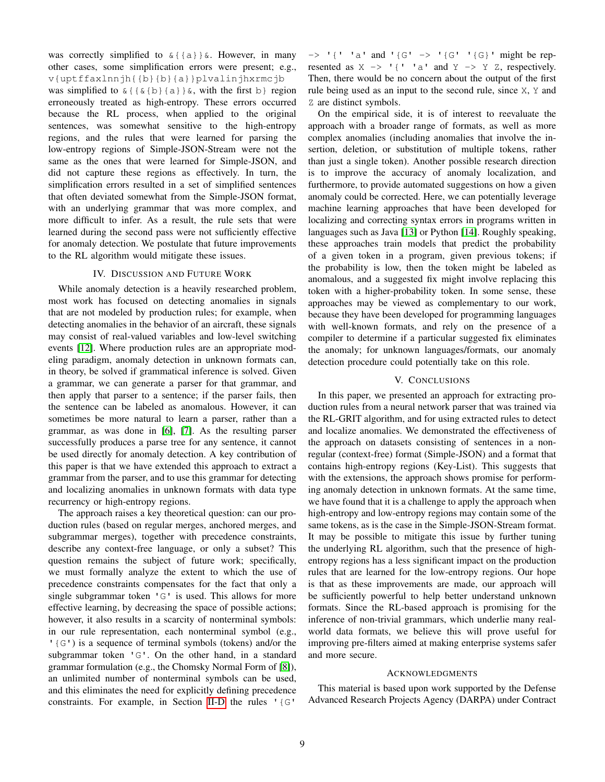was correctly simplified to  $\&$ {{a}} $&$ . However, in many other cases, some simplification errors were present; e.g., v{uptffaxlnnjh{{b}{b}{a}}plvalinjhxrmcjb was simplified to  $\& \{ \{ \& \{ b \} \} \}$ , with the first b region erroneously treated as high-entropy. These errors occurred because the RL process, when applied to the original sentences, was somewhat sensitive to the high-entropy regions, and the rules that were learned for parsing the low-entropy regions of Simple-JSON-Stream were not the same as the ones that were learned for Simple-JSON, and did not capture these regions as effectively. In turn, the simplification errors resulted in a set of simplified sentences that often deviated somewhat from the Simple-JSON format, with an underlying grammar that was more complex, and more difficult to infer. As a result, the rule sets that were learned during the second pass were not sufficiently effective for anomaly detection. We postulate that future improvements to the RL algorithm would mitigate these issues.

#### IV. DISCUSSION AND FUTURE WORK

<span id="page-8-0"></span>While anomaly detection is a heavily researched problem, most work has focused on detecting anomalies in signals that are not modeled by production rules; for example, when detecting anomalies in the behavior of an aircraft, these signals may consist of real-valued variables and low-level switching events [\[12\]](#page-9-11). Where production rules are an appropriate modeling paradigm, anomaly detection in unknown formats can, in theory, be solved if grammatical inference is solved. Given a grammar, we can generate a parser for that grammar, and then apply that parser to a sentence; if the parser fails, then the sentence can be labeled as anomalous. However, it can sometimes be more natural to learn a parser, rather than a grammar, as was done in [\[6\]](#page-9-5), [\[7\]](#page-9-6). As the resulting parser successfully produces a parse tree for any sentence, it cannot be used directly for anomaly detection. A key contribution of this paper is that we have extended this approach to extract a grammar from the parser, and to use this grammar for detecting and localizing anomalies in unknown formats with data type recurrency or high-entropy regions.

The approach raises a key theoretical question: can our production rules (based on regular merges, anchored merges, and subgrammar merges), together with precedence constraints, describe any context-free language, or only a subset? This question remains the subject of future work; specifically, we must formally analyze the extent to which the use of precedence constraints compensates for the fact that only a single subgrammar token 'G' is used. This allows for more effective learning, by decreasing the space of possible actions; however, it also results in a scarcity of nonterminal symbols: in our rule representation, each nonterminal symbol (e.g., '{G') is a sequence of terminal symbols (tokens) and/or the subgrammar token 'G'. On the other hand, in a standard grammar formulation (e.g., the Chomsky Normal Form of [\[8\]](#page-9-7)), an unlimited number of nonterminal symbols can be used, and this eliminates the need for explicitly defining precedence constraints. For example, in Section [II-D](#page-4-3) the rules '{G'

 $\Rightarrow$  '{' 'a' and '{G' -> '{G' '{G}' might be represented as  $X \rightarrow '$  {' 'a' and  $Y \rightarrow Y Z$ , respectively. Then, there would be no concern about the output of the first rule being used as an input to the second rule, since X, Y and Z are distinct symbols.

On the empirical side, it is of interest to reevaluate the approach with a broader range of formats, as well as more complex anomalies (including anomalies that involve the insertion, deletion, or substitution of multiple tokens, rather than just a single token). Another possible research direction is to improve the accuracy of anomaly localization, and furthermore, to provide automated suggestions on how a given anomaly could be corrected. Here, we can potentially leverage machine learning approaches that have been developed for localizing and correcting syntax errors in programs written in languages such as Java [\[13\]](#page-9-12) or Python [\[14\]](#page-9-13). Roughly speaking, these approaches train models that predict the probability of a given token in a program, given previous tokens; if the probability is low, then the token might be labeled as anomalous, and a suggested fix might involve replacing this token with a higher-probability token. In some sense, these approaches may be viewed as complementary to our work, because they have been developed for programming languages with well-known formats, and rely on the presence of a compiler to determine if a particular suggested fix eliminates the anomaly; for unknown languages/formats, our anomaly detection procedure could potentially take on this role.

#### V. CONCLUSIONS

In this paper, we presented an approach for extracting production rules from a neural network parser that was trained via the RL-GRIT algorithm, and for using extracted rules to detect and localize anomalies. We demonstrated the effectiveness of the approach on datasets consisting of sentences in a nonregular (context-free) format (Simple-JSON) and a format that contains high-entropy regions (Key-List). This suggests that with the extensions, the approach shows promise for performing anomaly detection in unknown formats. At the same time, we have found that it is a challenge to apply the approach when high-entropy and low-entropy regions may contain some of the same tokens, as is the case in the Simple-JSON-Stream format. It may be possible to mitigate this issue by further tuning the underlying RL algorithm, such that the presence of highentropy regions has a less significant impact on the production rules that are learned for the low-entropy regions. Our hope is that as these improvements are made, our approach will be sufficiently powerful to help better understand unknown formats. Since the RL-based approach is promising for the inference of non-trivial grammars, which underlie many realworld data formats, we believe this will prove useful for improving pre-filters aimed at making enterprise systems safer and more secure.

#### ACKNOWLEDGMENTS

This material is based upon work supported by the Defense Advanced Research Projects Agency (DARPA) under Contract